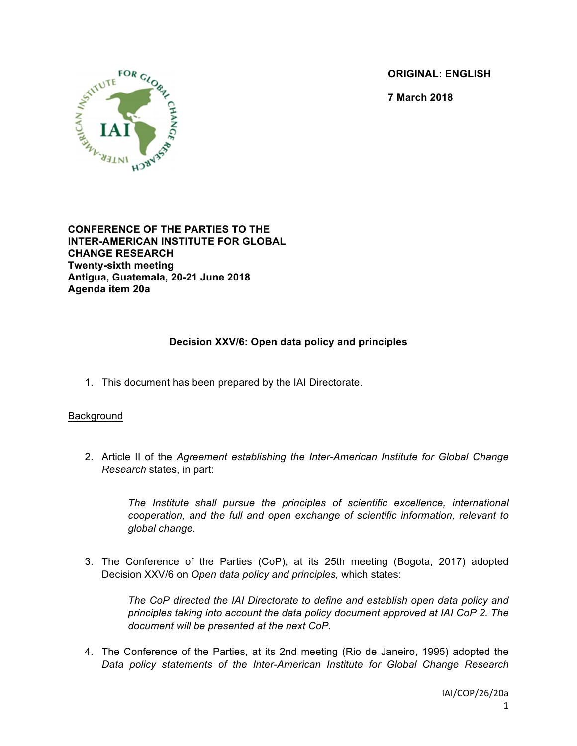**ORIGINAL: ENGLISH**

**7 March 2018**



**CONFERENCE OF THE PARTIES TO THE INTER-AMERICAN INSTITUTE FOR GLOBAL CHANGE RESEARCH Twenty-sixth meeting Antigua, Guatemala, 20-21 June 2018 Agenda item 20a**

# **Decision XXV/6: Open data policy and principles**

1. This document has been prepared by the IAI Directorate.

### **Background**

2. Article II of the *Agreement establishing the Inter-American Institute for Global Change Research* states, in part:

> *The Institute shall pursue the principles of scientific excellence, international cooperation, and the full and open exchange of scientific information, relevant to global change.*

3. The Conference of the Parties (CoP), at its 25th meeting (Bogota, 2017) adopted Decision XXV/6 on *Open data policy and principles,* which states:

*The CoP directed the IAI Directorate to define and establish open data policy and principles taking into account the data policy document approved at IAI CoP 2. The document will be presented at the next CoP.*

4. The Conference of the Parties, at its 2nd meeting (Rio de Janeiro, 1995) adopted the *Data policy statements of the Inter-American Institute for Global Change Research*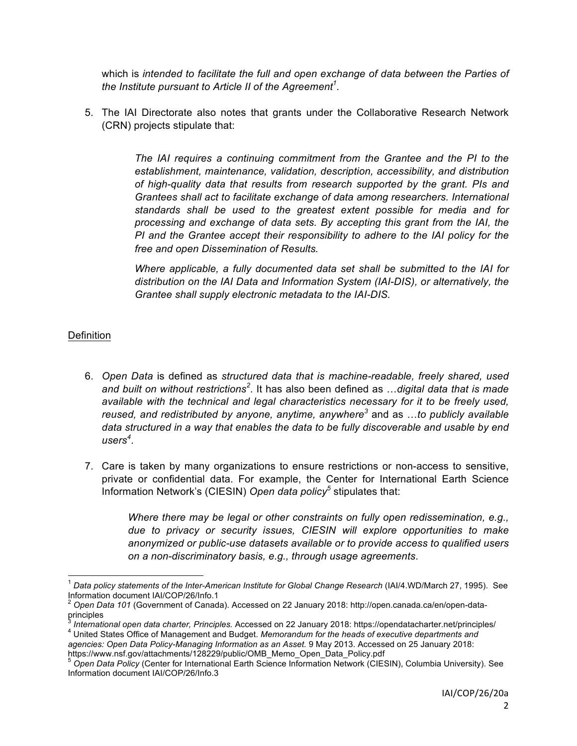which is *intended to facilitate the full and open exchange of data between the Parties of the Institute pursuant to Article II of the Agreement<sup>1</sup>* .

5. The IAI Directorate also notes that grants under the Collaborative Research Network (CRN) projects stipulate that:

> *The IAI requires a continuing commitment from the Grantee and the PI to the establishment, maintenance, validation, description, accessibility, and distribution of high-quality data that results from research supported by the grant. PIs and Grantees shall act to facilitate exchange of data among researchers. International standards shall be used to the greatest extent possible for media and for processing and exchange of data sets. By accepting this grant from the IAI, the PI and the Grantee accept their responsibility to adhere to the IAI policy for the free and open Dissemination of Results.*

> *Where applicable, a fully documented data set shall be submitted to the IAI for distribution on the IAI Data and Information System (IAI-DIS), or alternatively, the Grantee shall supply electronic metadata to the IAI-DIS.*

## **Definition**

- 6. *Open Data* is defined as *structured data that is machine-readable, freely shared, used and built on without restrictions<sup>2</sup>* . It has also been defined as …*digital data that is made available with the technical and legal characteristics necessary for it to be freely used, reused, and redistributed by anyone, anytime, anywhere<sup>3</sup>* and as …*to publicly available data structured in a way that enables the data to be fully discoverable and usable by end users<sup>4</sup>* .
- 7. Care is taken by many organizations to ensure restrictions or non-access to sensitive, private or confidential data. For example, the Center for International Earth Science Information Network's (CIESIN) *Open data policy<sup>5</sup>* stipulates that:

*Where there may be legal or other constraints on fully open redissemination, e.g., due to privacy or security issues, CIESIN will explore opportunities to make anonymized or public-use datasets available or to provide access to qualified users on a non-discriminatory basis, e.g., through usage agreements*.

*agencies: Open Data Policy-Managing Information as an Asset.* 9 May 2013. Accessed on 25 January 2018: https://www.nsf.gov/attachments/128229/public/OMB\_Memo\_Open\_Data\_Policy.pdf

 <sup>1</sup> *Data policy statements of the Inter-American Institute for Global Change Research* (IAI/4.WD/March 27, 1995). See Information document IAI/COP/26/Info.1

<sup>2</sup> *Open Data 101* (Government of Canada). Accessed on 22 January 2018: http://open.canada.ca/en/open-dataprinciples<br><sup>3</sup> International open data charter, Principles, Accessed on 22 January 2018; https://opendatacharter.net/principles/

<sup>4</sup> United States Office of Management and Budget. Memorandum for the heads of executive departments and

<sup>5</sup> *Open Data Policy* (Center for International Earth Science Information Network (CIESIN), Columbia University). See Information document IAI/COP/26/Info.3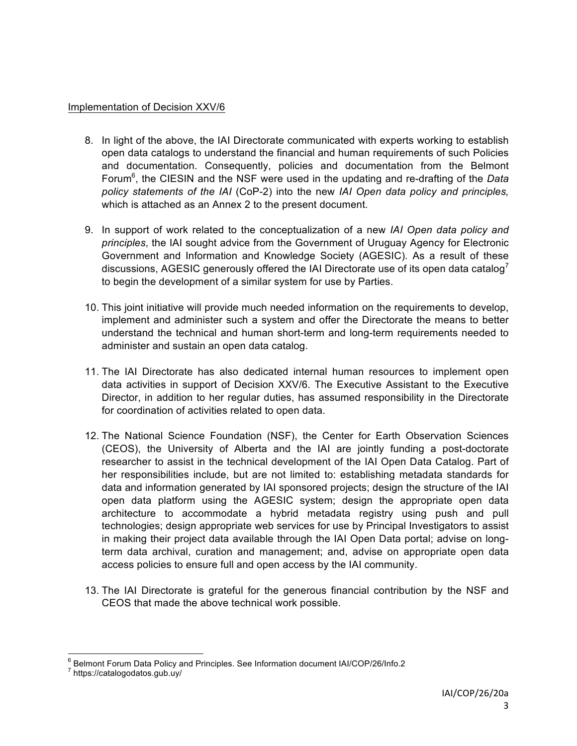#### Implementation of Decision XXV/6

- 8. In light of the above, the IAI Directorate communicated with experts working to establish open data catalogs to understand the financial and human requirements of such Policies and documentation. Consequently, policies and documentation from the Belmont Forum<sup>6</sup>, the CIESIN and the NSF were used in the updating and re-drafting of the Data *policy statements of the IAI* (CoP-2) into the new *IAI Open data policy and principles,* which is attached as an Annex 2 to the present document.
- 9. In support of work related to the conceptualization of a new *IAI Open data policy and principles*, the IAI sought advice from the Government of Uruguay Agency for Electronic Government and Information and Knowledge Society (AGESIC). As a result of these discussions, AGESIC generously offered the IAI Directorate use of its open data catalog<sup>7</sup> to begin the development of a similar system for use by Parties.
- 10. This joint initiative will provide much needed information on the requirements to develop, implement and administer such a system and offer the Directorate the means to better understand the technical and human short-term and long-term requirements needed to administer and sustain an open data catalog.
- 11. The IAI Directorate has also dedicated internal human resources to implement open data activities in support of Decision XXV/6. The Executive Assistant to the Executive Director, in addition to her regular duties, has assumed responsibility in the Directorate for coordination of activities related to open data.
- 12. The National Science Foundation (NSF), the Center for Earth Observation Sciences (CEOS), the University of Alberta and the IAI are jointly funding a post-doctorate researcher to assist in the technical development of the IAI Open Data Catalog. Part of her responsibilities include, but are not limited to: establishing metadata standards for data and information generated by IAI sponsored projects; design the structure of the IAI open data platform using the AGESIC system; design the appropriate open data architecture to accommodate a hybrid metadata registry using push and pull technologies; design appropriate web services for use by Principal Investigators to assist in making their project data available through the IAI Open Data portal; advise on longterm data archival, curation and management; and, advise on appropriate open data access policies to ensure full and open access by the IAI community.
- 13. The IAI Directorate is grateful for the generous financial contribution by the NSF and CEOS that made the above technical work possible.

<sup>&</sup>lt;sup>6</sup> Belmont Forum Data Policy and Principles. See Information document IAI/COP/26/Info.2<br><sup>7</sup> https://catalogodatos.gub.uy/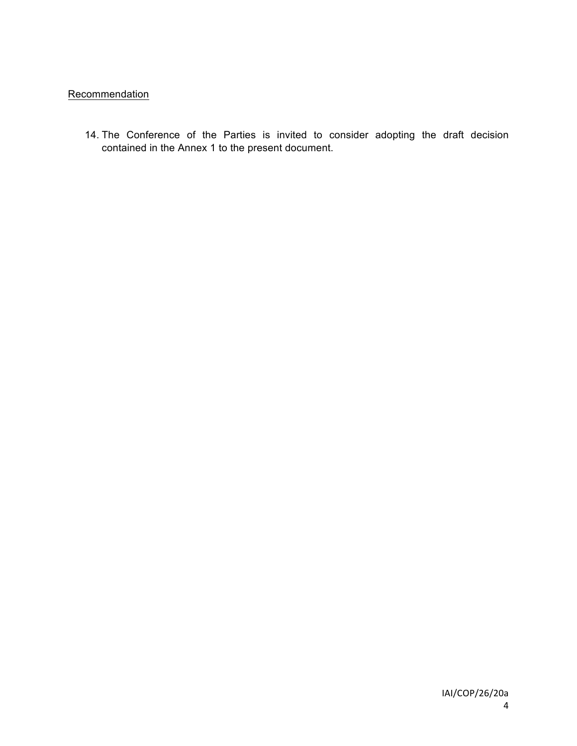# **Recommendation**

14. The Conference of the Parties is invited to consider adopting the draft decision contained in the Annex 1 to the present document.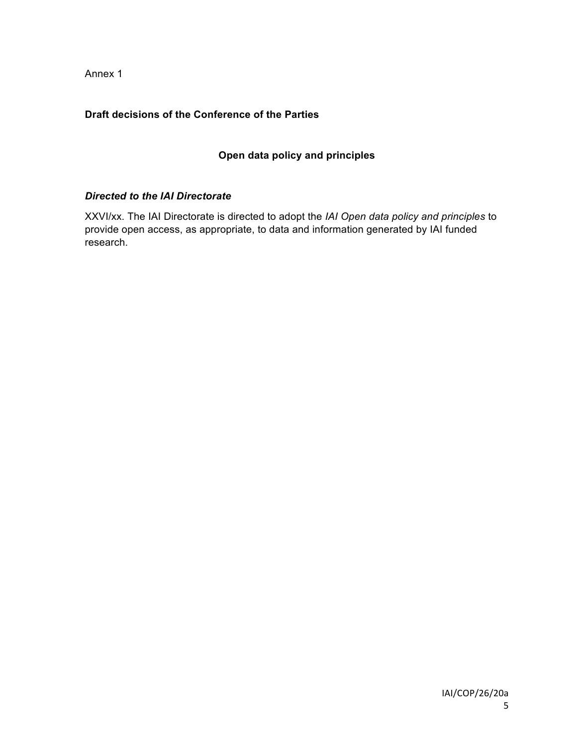Annex 1

## **Draft decisions of the Conference of the Parties**

# **Open data policy and principles**

### *Directed to the IAI Directorate*

XXVI/xx. The IAI Directorate is directed to adopt the *IAI Open data policy and principles* to provide open access, as appropriate, to data and information generated by IAI funded research.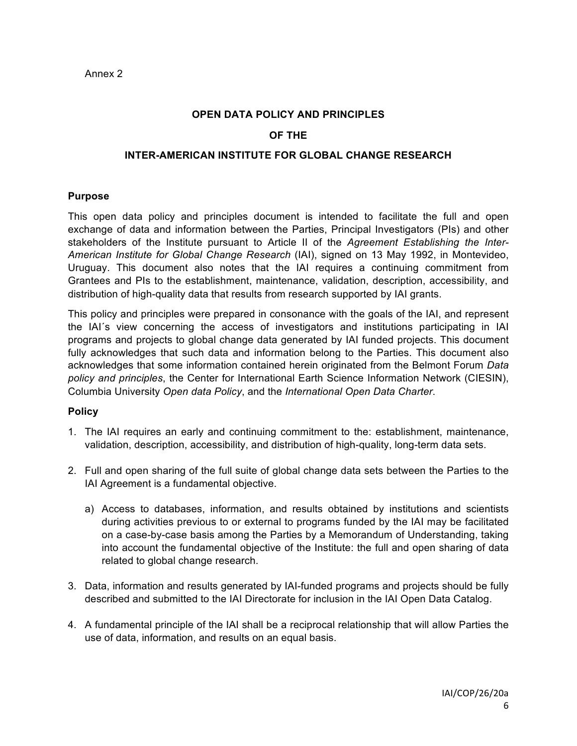#### **OPEN DATA POLICY AND PRINCIPLES**

### **OF THE**

### **INTER-AMERICAN INSTITUTE FOR GLOBAL CHANGE RESEARCH**

#### **Purpose**

This open data policy and principles document is intended to facilitate the full and open exchange of data and information between the Parties, Principal Investigators (PIs) and other stakeholders of the Institute pursuant to Article II of the *Agreement Establishing the Inter-American Institute for Global Change Research* (IAI), signed on 13 May 1992, in Montevideo, Uruguay. This document also notes that the IAI requires a continuing commitment from Grantees and PIs to the establishment, maintenance, validation, description, accessibility, and distribution of high-quality data that results from research supported by IAI grants.

This policy and principles were prepared in consonance with the goals of the IAI, and represent the IAI´s view concerning the access of investigators and institutions participating in IAI programs and projects to global change data generated by IAI funded projects. This document fully acknowledges that such data and information belong to the Parties. This document also acknowledges that some information contained herein originated from the Belmont Forum *Data policy and principles*, the Center for International Earth Science Information Network (CIESIN), Columbia University *Open data Policy*, and the *International Open Data Charter*.

### **Policy**

- 1. The IAI requires an early and continuing commitment to the: establishment, maintenance, validation, description, accessibility, and distribution of high-quality, long-term data sets.
- 2. Full and open sharing of the full suite of global change data sets between the Parties to the IAI Agreement is a fundamental objective.
	- a) Access to databases, information, and results obtained by institutions and scientists during activities previous to or external to programs funded by the IAI may be facilitated on a case-by-case basis among the Parties by a Memorandum of Understanding, taking into account the fundamental objective of the Institute: the full and open sharing of data related to global change research.
- 3. Data, information and results generated by IAI-funded programs and projects should be fully described and submitted to the IAI Directorate for inclusion in the IAI Open Data Catalog.
- 4. A fundamental principle of the IAI shall be a reciprocal relationship that will allow Parties the use of data, information, and results on an equal basis.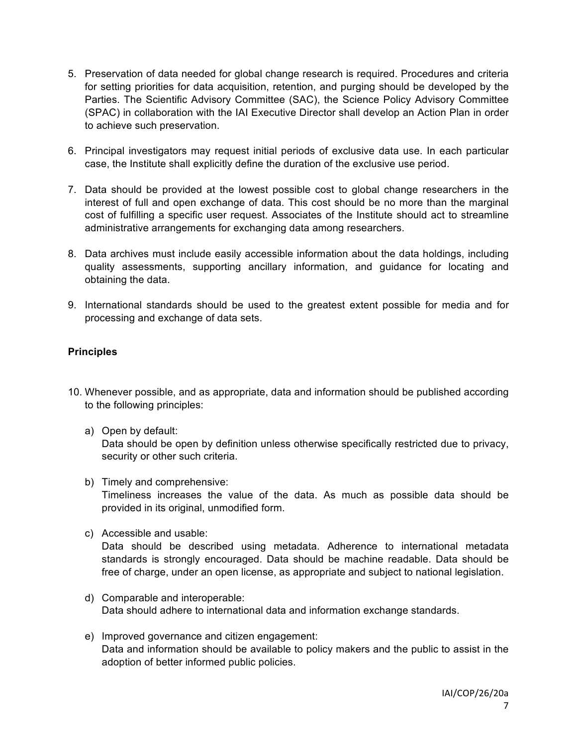- 5. Preservation of data needed for global change research is required. Procedures and criteria for setting priorities for data acquisition, retention, and purging should be developed by the Parties. The Scientific Advisory Committee (SAC), the Science Policy Advisory Committee (SPAC) in collaboration with the IAI Executive Director shall develop an Action Plan in order to achieve such preservation.
- 6. Principal investigators may request initial periods of exclusive data use. In each particular case, the Institute shall explicitly define the duration of the exclusive use period.
- 7. Data should be provided at the lowest possible cost to global change researchers in the interest of full and open exchange of data. This cost should be no more than the marginal cost of fulfilling a specific user request. Associates of the Institute should act to streamline administrative arrangements for exchanging data among researchers.
- 8. Data archives must include easily accessible information about the data holdings, including quality assessments, supporting ancillary information, and guidance for locating and obtaining the data.
- 9. International standards should be used to the greatest extent possible for media and for processing and exchange of data sets.

## **Principles**

- 10. Whenever possible, and as appropriate, data and information should be published according to the following principles:
	- a) Open by default:

Data should be open by definition unless otherwise specifically restricted due to privacy, security or other such criteria.

- b) Timely and comprehensive: Timeliness increases the value of the data. As much as possible data should be provided in its original, unmodified form.
- c) Accessible and usable:

Data should be described using metadata. Adherence to international metadata standards is strongly encouraged. Data should be machine readable. Data should be free of charge, under an open license, as appropriate and subject to national legislation.

- d) Comparable and interoperable: Data should adhere to international data and information exchange standards.
- e) Improved governance and citizen engagement: Data and information should be available to policy makers and the public to assist in the adoption of better informed public policies.